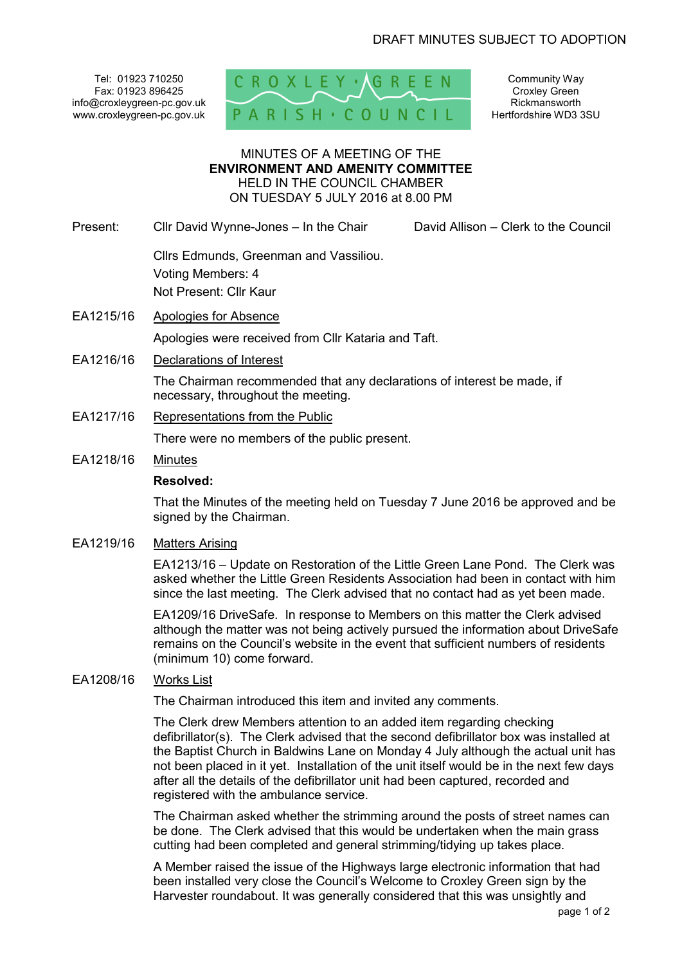Tel: 01923 710250 Fax: 01923 896425 info@croxleygreen-pc.gov.uk www.croxleygreen-pc.gov.uk



Community Way Croxley Green Rickmansworth Hertfordshire WD3 3SU

### MINUTES OF A MEETING OF THE **ENVIRONMENT AND AMENITY COMMITTEE** HELD IN THE COUNCIL CHAMBER ON TUESDAY 5 JULY 2016 at 8.00 PM

Present: Cllr David Wynne-Jones – In the Chair David Allison – Clerk to the Council

 Cllrs Edmunds, Greenman and Vassiliou. Voting Members: 4 Not Present: Cllr Kaur

EA1215/16 Apologies for Absence

Apologies were received from Cllr Kataria and Taft.

EA1216/16 Declarations of Interest

The Chairman recommended that any declarations of interest be made, if necessary, throughout the meeting.

EA1217/16 Representations from the Public

There were no members of the public present.

# EA1218/16 Minutes

#### **Resolved:**

That the Minutes of the meeting held on Tuesday 7 June 2016 be approved and be signed by the Chairman.

### EA1219/16 Matters Arising

EA1213/16 – Update on Restoration of the Little Green Lane Pond. The Clerk was asked whether the Little Green Residents Association had been in contact with him since the last meeting. The Clerk advised that no contact had as yet been made.

EA1209/16 DriveSafe. In response to Members on this matter the Clerk advised although the matter was not being actively pursued the information about DriveSafe remains on the Council's website in the event that sufficient numbers of residents (minimum 10) come forward.

### EA1208/16 Works List

The Chairman introduced this item and invited any comments.

The Clerk drew Members attention to an added item regarding checking defibrillator(s). The Clerk advised that the second defibrillator box was installed at the Baptist Church in Baldwins Lane on Monday 4 July although the actual unit has not been placed in it yet. Installation of the unit itself would be in the next few days after all the details of the defibrillator unit had been captured, recorded and registered with the ambulance service.

The Chairman asked whether the strimming around the posts of street names can be done. The Clerk advised that this would be undertaken when the main grass cutting had been completed and general strimming/tidying up takes place.

A Member raised the issue of the Highways large electronic information that had been installed very close the Council's Welcome to Croxley Green sign by the Harvester roundabout. It was generally considered that this was unsightly and